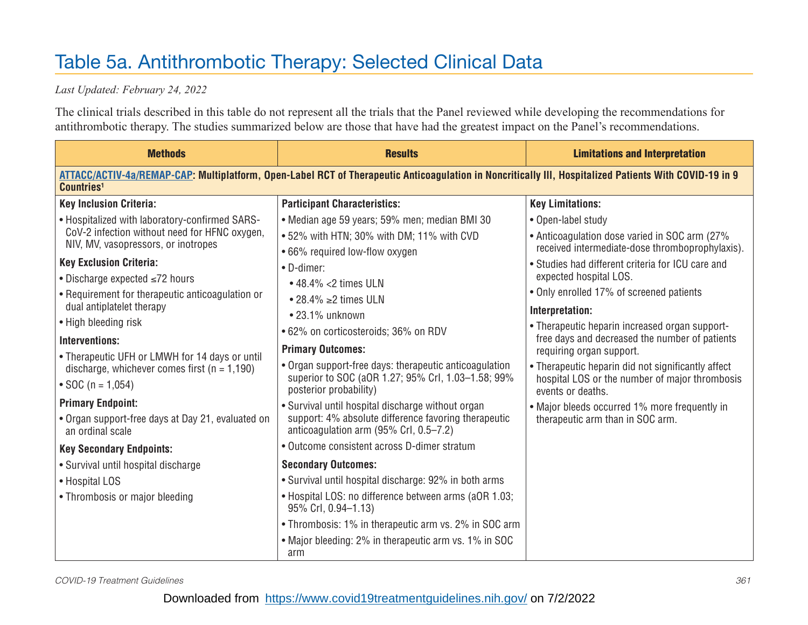## Table 5a. Antithrombotic Therapy: Selected Clinical Data

## *Last Updated: February 24, 2022*

The clinical trials described in this table do not represent all the trials that the Panel reviewed while developing the recommendations for antithrombotic therapy. The studies summarized below are those that have had the greatest impact on the Panel's recommendations.

| <b>Methods</b>                                                                                                                                                                   | <b>Results</b>                                                                                                                                                                                                                                                                                                  | <b>Limitations and Interpretation</b>                                                                                                                                                                                                                                                                                            |  |
|----------------------------------------------------------------------------------------------------------------------------------------------------------------------------------|-----------------------------------------------------------------------------------------------------------------------------------------------------------------------------------------------------------------------------------------------------------------------------------------------------------------|----------------------------------------------------------------------------------------------------------------------------------------------------------------------------------------------------------------------------------------------------------------------------------------------------------------------------------|--|
| ATTACC/ACTIV-4a/REMAP-CAP: Multiplatform, Open-Label RCT of Therapeutic Anticoagulation in Noncritically III, Hospitalized Patients With COVID-19 in 9<br>Countries <sup>1</sup> |                                                                                                                                                                                                                                                                                                                 |                                                                                                                                                                                                                                                                                                                                  |  |
| <b>Key Inclusion Criteria:</b>                                                                                                                                                   | <b>Participant Characteristics:</b>                                                                                                                                                                                                                                                                             | <b>Key Limitations:</b>                                                                                                                                                                                                                                                                                                          |  |
| . Hospitalized with laboratory-confirmed SARS-<br>CoV-2 infection without need for HFNC oxygen,<br>NIV, MV, vasopressors, or inotropes                                           | • Median age 59 years; 59% men; median BMI 30<br>. 52% with HTN; 30% with DM; 11% with CVD                                                                                                                                                                                                                      | • Open-label study<br>• Anticoagulation dose varied in SOC arm (27%<br>received intermediate-dose thromboprophylaxis).                                                                                                                                                                                                           |  |
| <b>Key Exclusion Criteria:</b><br>• Discharge expected $\leq 72$ hours                                                                                                           | .66% required low-flow oxygen<br>• D-dimer:<br>$\cdot$ 48.4% <2 times ULN<br>• 28.4% ≥ 2times ULN<br>$\bullet$ 23.1% unknown<br>.62% on corticosteroids; 36% on RDV<br><b>Primary Outcomes:</b><br>• Organ support-free days: therapeutic anticoagulation<br>superior to SOC (aOR 1.27; 95% CrI, 1.03-1.58; 99% | • Studies had different criteria for ICU care and<br>expected hospital LOS.<br>• Only enrolled 17% of screened patients<br>Interpretation:<br>• Therapeutic heparin increased organ support-<br>free days and decreased the number of patients<br>requiring organ support.<br>• Therapeutic heparin did not significantly affect |  |
| • Requirement for therapeutic anticoagulation or<br>dual antiplatelet therapy<br>• High bleeding risk                                                                            |                                                                                                                                                                                                                                                                                                                 |                                                                                                                                                                                                                                                                                                                                  |  |
| Interventions:<br>• Therapeutic UFH or LMWH for 14 days or until<br>discharge, whichever comes first ( $n = 1,190$ )                                                             |                                                                                                                                                                                                                                                                                                                 |                                                                                                                                                                                                                                                                                                                                  |  |
| • SOC ( $n = 1,054$ )                                                                                                                                                            | posterior probability)                                                                                                                                                                                                                                                                                          | hospital LOS or the number of major thrombosis<br>events or deaths.                                                                                                                                                                                                                                                              |  |
| <b>Primary Endpoint:</b><br>• Organ support-free days at Day 21, evaluated on<br>an ordinal scale                                                                                | • Survival until hospital discharge without organ<br>support: 4% absolute difference favoring therapeutic<br>anticoagulation arm (95% Crl, 0.5-7.2)                                                                                                                                                             | • Major bleeds occurred 1% more frequently in<br>therapeutic arm than in SOC arm.                                                                                                                                                                                                                                                |  |
| <b>Key Secondary Endpoints:</b>                                                                                                                                                  | • Outcome consistent across D-dimer stratum                                                                                                                                                                                                                                                                     |                                                                                                                                                                                                                                                                                                                                  |  |
| • Survival until hospital discharge                                                                                                                                              | <b>Secondary Outcomes:</b>                                                                                                                                                                                                                                                                                      |                                                                                                                                                                                                                                                                                                                                  |  |
| • Hospital LOS                                                                                                                                                                   | • Survival until hospital discharge: 92% in both arms                                                                                                                                                                                                                                                           |                                                                                                                                                                                                                                                                                                                                  |  |
| • Thrombosis or major bleeding                                                                                                                                                   | • Hospital LOS: no difference between arms (aOR 1.03;<br>95% Crl, 0.94-1.13)                                                                                                                                                                                                                                    |                                                                                                                                                                                                                                                                                                                                  |  |
|                                                                                                                                                                                  | • Thrombosis: 1% in therapeutic arm vs. 2% in SOC arm                                                                                                                                                                                                                                                           |                                                                                                                                                                                                                                                                                                                                  |  |
|                                                                                                                                                                                  | • Major bleeding: 2% in therapeutic arm vs. 1% in SOC<br>arm                                                                                                                                                                                                                                                    |                                                                                                                                                                                                                                                                                                                                  |  |

*COVID-19 Treatment Guidelines 361*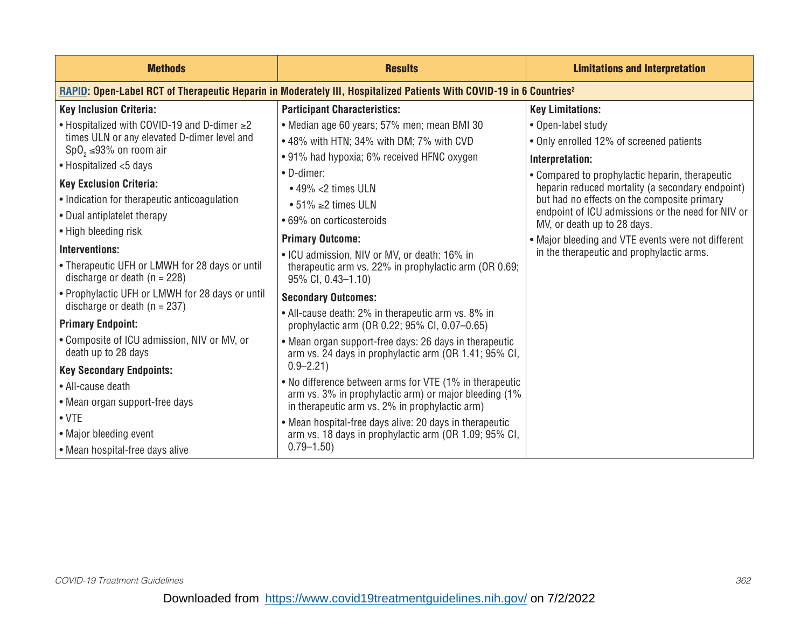| <b>Methods</b>                                                                                                                                      | <b>Results</b>                                                                                                              | <b>Limitations and Interpretation</b>                                                                                                                                                                                                  |
|-----------------------------------------------------------------------------------------------------------------------------------------------------|-----------------------------------------------------------------------------------------------------------------------------|----------------------------------------------------------------------------------------------------------------------------------------------------------------------------------------------------------------------------------------|
| RAPID: Open-Label RCT of Therapeutic Heparin in Moderately III, Hospitalized Patients With COVID-19 in 6 Countries <sup>2</sup>                     |                                                                                                                             |                                                                                                                                                                                                                                        |
| <b>Key Inclusion Criteria:</b>                                                                                                                      | <b>Participant Characteristics:</b>                                                                                         | <b>Key Limitations:</b>                                                                                                                                                                                                                |
| $\bullet$ Hospitalized with COVID-19 and D-dimer $\geq$ 2<br>times ULN or any elevated D-dimer level and<br>SpO <sub>2</sub> $\leq$ 93% on room air | • Median age 60 years; 57% men; mean BMI 30<br>• 48% with HTN; 34% with DM; 7% with CVD                                     | • Open-label study<br>• Only enrolled 12% of screened patients                                                                                                                                                                         |
| • Hospitalized <5 days                                                                                                                              | • 91% had hypoxia; 6% received HFNC oxygen                                                                                  | Interpretation:                                                                                                                                                                                                                        |
| <b>Key Exclusion Criteria:</b><br>• Indication for therapeutic anticoagulation<br>• Dual antiplatelet therapy                                       | • D-dimer:<br>$\cdot$ 49% <2 times ULN<br>• 51% ≥2 times ULN<br>• 69% on corticosteroids                                    | • Compared to prophylactic heparin, therapeutic<br>heparin reduced mortality (a secondary endpoint)<br>but had no effects on the composite primary<br>endpoint of ICU admissions or the need for NIV or<br>MV, or death up to 28 days. |
| • High bleeding risk                                                                                                                                | <b>Primary Outcome:</b>                                                                                                     | • Major bleeding and VTE events were not different                                                                                                                                                                                     |
| Interventions:<br>• Therapeutic UFH or LMWH for 28 days or until<br>discharge or death ( $n = 228$ )                                                | • ICU admission, NIV or MV, or death: 16% in<br>therapeutic arm vs. 22% in prophylactic arm (OR 0.69;<br>95% CI, 0.43-1.10) | in the therapeutic and prophylactic arms.                                                                                                                                                                                              |
| • Prophylactic UFH or LMWH for 28 days or until<br>discharge or death ( $n = 237$ )                                                                 | <b>Secondary Outcomes:</b>                                                                                                  |                                                                                                                                                                                                                                        |
| <b>Primary Endpoint:</b>                                                                                                                            | • All-cause death: 2% in therapeutic arm vs. 8% in<br>prophylactic arm (OR 0.22; 95% CI, 0.07-0.65)                         |                                                                                                                                                                                                                                        |
| • Composite of ICU admission, NIV or MV, or<br>death up to 28 days                                                                                  | • Mean organ support-free days: 26 days in therapeutic<br>arm vs. 24 days in prophylactic arm (OR 1.41; 95% CI,             |                                                                                                                                                                                                                                        |
| <b>Key Secondary Endpoints:</b>                                                                                                                     | $0.9 - 2.21$                                                                                                                |                                                                                                                                                                                                                                        |
| • All-cause death                                                                                                                                   | . No difference between arms for VTE (1% in therapeutic<br>arm vs. 3% in prophylactic arm) or major bleeding (1%            |                                                                                                                                                                                                                                        |
| • Mean organ support-free days                                                                                                                      | in therapeutic arm vs. 2% in prophylactic arm)                                                                              |                                                                                                                                                                                                                                        |
| $\bullet$ VTE                                                                                                                                       | • Mean hospital-free days alive: 20 days in therapeutic                                                                     |                                                                                                                                                                                                                                        |
| • Major bleeding event                                                                                                                              | arm vs. 18 days in prophylactic arm (OR 1.09; 95% CI,                                                                       |                                                                                                                                                                                                                                        |
| • Mean hospital-free days alive                                                                                                                     | $0.79 - 1.50$                                                                                                               |                                                                                                                                                                                                                                        |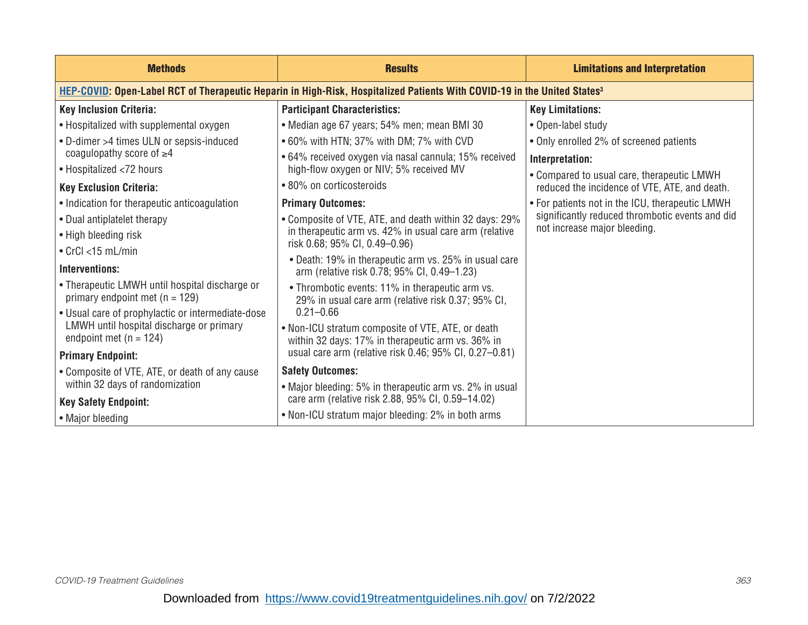| <b>Methods</b>                                                                                                                             | <b>Results</b>                                                                                         | <b>Limitations and Interpretation</b>                                                       |
|--------------------------------------------------------------------------------------------------------------------------------------------|--------------------------------------------------------------------------------------------------------|---------------------------------------------------------------------------------------------|
| <b>HEP-COVID: Open-Label RCT of Therapeutic Heparin in High-Risk, Hospitalized Patients With COVID-19 in the United States<sup>3</sup></b> |                                                                                                        |                                                                                             |
| <b>Key Inclusion Criteria:</b>                                                                                                             | <b>Participant Characteristics:</b>                                                                    | <b>Key Limitations:</b>                                                                     |
| • Hospitalized with supplemental oxygen                                                                                                    | • Median age 67 years; 54% men; mean BMI 30                                                            | • Open-label study                                                                          |
| • D-dimer >4 times ULN or sepsis-induced                                                                                                   | • 60% with HTN; 37% with DM; 7% with CVD                                                               | • Only enrolled 2% of screened patients                                                     |
| coagulopathy score of $\geq 4$                                                                                                             | • 64% received oxygen via nasal cannula; 15% received                                                  | Interpretation:                                                                             |
| • Hospitalized <72 hours<br><b>Key Exclusion Criteria:</b>                                                                                 | high-flow oxygen or NIV; 5% received MV<br>• 80% on corticosteroids                                    | • Compared to usual care, therapeutic LMWH<br>reduced the incidence of VTE, ATE, and death. |
| • Indication for therapeutic anticoagulation                                                                                               | <b>Primary Outcomes:</b>                                                                               | • For patients not in the ICU, therapeutic LMWH                                             |
| • Dual antiplatelet therapy                                                                                                                | • Composite of VTE, ATE, and death within 32 days: 29%                                                 | significantly reduced thrombotic events and did                                             |
| • High bleeding risk                                                                                                                       | in therapeutic arm vs. 42% in usual care arm (relative<br>risk 0.68; 95% CI, 0.49-0.96)                | not increase major bleeding.                                                                |
| $\bullet$ CrCl <15 mL/min                                                                                                                  | • Death: 19% in therapeutic arm vs. 25% in usual care                                                  |                                                                                             |
| Interventions:                                                                                                                             | arm (relative risk 0.78; 95% CI, 0.49-1.23)                                                            |                                                                                             |
| • Therapeutic LMWH until hospital discharge or<br>primary endpoint met $(n = 129)$                                                         | • Thrombotic events: 11% in therapeutic arm vs.<br>29% in usual care arm (relative risk 0.37; 95% CI,  |                                                                                             |
| • Usual care of prophylactic or intermediate-dose                                                                                          | $0.21 - 0.66$                                                                                          |                                                                                             |
| LMWH until hospital discharge or primary<br>endpoint met $(n = 124)$                                                                       | . Non-ICU stratum composite of VTE, ATE, or death<br>within 32 days: 17% in therapeutic arm vs. 36% in |                                                                                             |
| <b>Primary Endpoint:</b>                                                                                                                   | usual care arm (relative risk 0.46; 95% CI, 0.27-0.81)                                                 |                                                                                             |
| • Composite of VTE, ATE, or death of any cause                                                                                             | <b>Safety Outcomes:</b>                                                                                |                                                                                             |
| within 32 days of randomization                                                                                                            | • Major bleeding: 5% in therapeutic arm vs. 2% in usual                                                |                                                                                             |
| <b>Key Safety Endpoint:</b>                                                                                                                | care arm (relative risk 2.88, 95% CI, 0.59-14.02)                                                      |                                                                                             |
| • Major bleeding                                                                                                                           | • Non-ICU stratum major bleeding: 2% in both arms                                                      |                                                                                             |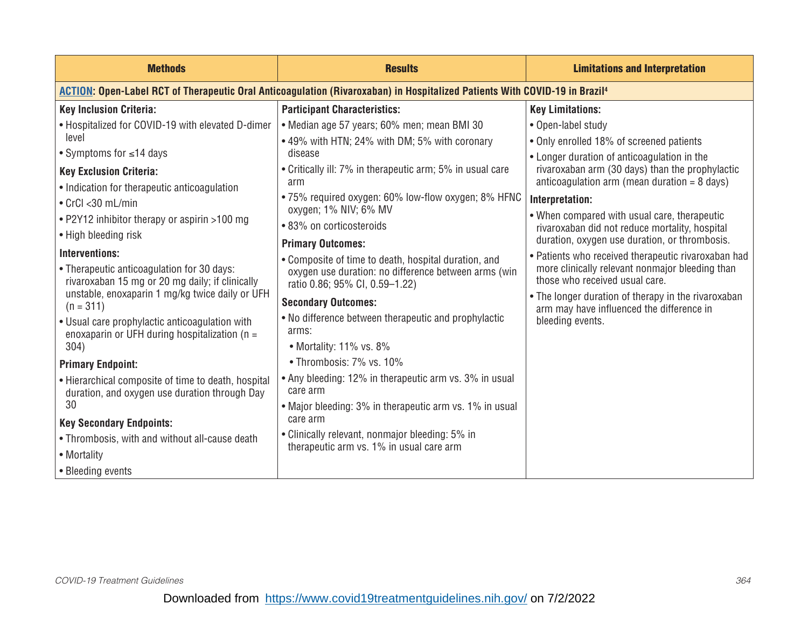| <b>Methods</b>                                                                                                                         | <b>Results</b>                                                                              | <b>Limitations and Interpretation</b>                                                             |
|----------------------------------------------------------------------------------------------------------------------------------------|---------------------------------------------------------------------------------------------|---------------------------------------------------------------------------------------------------|
| ACTION: Open-Label RCT of Therapeutic Oral Anticoagulation (Rivaroxaban) in Hospitalized Patients With COVID-19 in Brazil <sup>4</sup> |                                                                                             |                                                                                                   |
| <b>Key Inclusion Criteria:</b>                                                                                                         | <b>Participant Characteristics:</b>                                                         | <b>Key Limitations:</b>                                                                           |
| • Hospitalized for COVID-19 with elevated D-dimer                                                                                      | • Median age 57 years; 60% men; mean BMI 30                                                 | • Open-label study                                                                                |
| level                                                                                                                                  | • 49% with HTN; 24% with DM; 5% with coronary                                               | • Only enrolled 18% of screened patients                                                          |
| • Symptoms for $\leq$ 14 days                                                                                                          | disease                                                                                     | • Longer duration of anticoagulation in the                                                       |
| <b>Key Exclusion Criteria:</b>                                                                                                         | • Critically ill: 7% in therapeutic arm; 5% in usual care<br>arm                            | rivaroxaban arm (30 days) than the prophylactic<br>anticoagulation arm (mean duration $= 8$ days) |
| • Indication for therapeutic anticoagulation                                                                                           | • 75% required oxygen: 60% low-flow oxygen; 8% HFNC                                         |                                                                                                   |
| $\cdot$ CrCl < 30 mL/min                                                                                                               | oxygen; 1% NIV; 6% MV                                                                       | Interpretation:                                                                                   |
| • P2Y12 inhibitor therapy or aspirin >100 mg                                                                                           | • 83% on corticosteroids                                                                    | • When compared with usual care, therapeutic<br>rivaroxaban did not reduce mortality, hospital    |
| • High bleeding risk                                                                                                                   | <b>Primary Outcomes:</b>                                                                    | duration, oxygen use duration, or thrombosis.                                                     |
| Interventions:                                                                                                                         | • Composite of time to death, hospital duration, and                                        | • Patients who received therapeutic rivaroxaban had                                               |
| • Therapeutic anticoagulation for 30 days:<br>rivaroxaban 15 mg or 20 mg daily; if clinically                                          | oxygen use duration: no difference between arms (win<br>ratio 0.86; 95% CI, 0.59-1.22)      | more clinically relevant nonmajor bleeding than<br>those who received usual care.                 |
| unstable, enoxaparin 1 mg/kg twice daily or UFH<br>$(n = 311)$                                                                         | <b>Secondary Outcomes:</b>                                                                  | • The longer duration of therapy in the rivaroxaban<br>arm may have influenced the difference in  |
| • Usual care prophylactic anticoagulation with<br>enoxaparin or UFH during hospitalization ( $n =$                                     | • No difference between therapeutic and prophylactic<br>arms:                               | bleeding events.                                                                                  |
| 304)                                                                                                                                   | • Mortality: 11% vs. 8%                                                                     |                                                                                                   |
| <b>Primary Endpoint:</b>                                                                                                               | • Thrombosis: 7% vs. 10%                                                                    |                                                                                                   |
| • Hierarchical composite of time to death, hospital<br>duration, and oxygen use duration through Day                                   | • Any bleeding: 12% in therapeutic arm vs. 3% in usual<br>care arm                          |                                                                                                   |
| 30                                                                                                                                     | • Major bleeding: 3% in therapeutic arm vs. 1% in usual                                     |                                                                                                   |
| <b>Key Secondary Endpoints:</b>                                                                                                        | care arm                                                                                    |                                                                                                   |
| • Thrombosis, with and without all-cause death                                                                                         | • Clinically relevant, nonmajor bleeding: 5% in<br>therapeutic arm vs. 1% in usual care arm |                                                                                                   |
| • Mortality                                                                                                                            |                                                                                             |                                                                                                   |
| • Bleeding events                                                                                                                      |                                                                                             |                                                                                                   |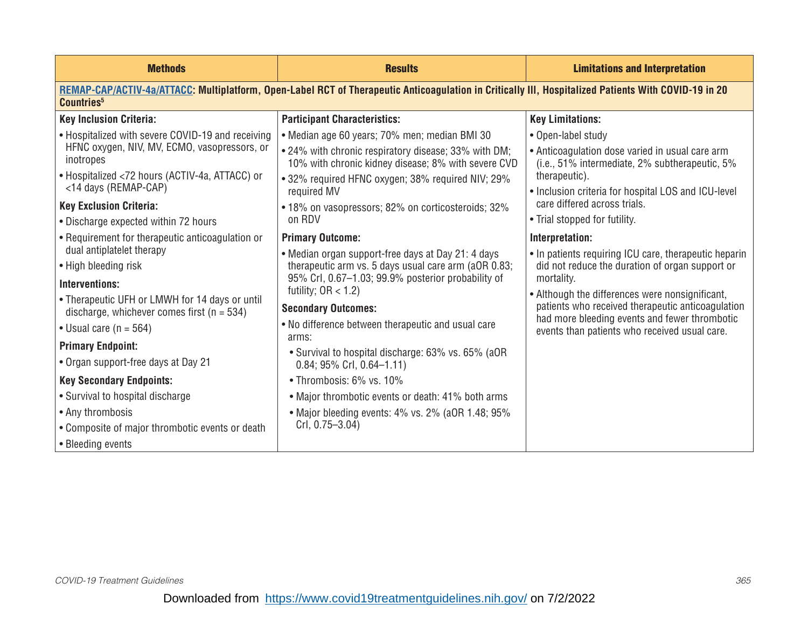| <b>Methods</b>                                                                                                                                                                 | <b>Results</b>                                                                                              | <b>Limitations and Interpretation</b>                                                                    |
|--------------------------------------------------------------------------------------------------------------------------------------------------------------------------------|-------------------------------------------------------------------------------------------------------------|----------------------------------------------------------------------------------------------------------|
| REMAP-CAP/ACTIV-4a/ATTACC: Multiplatform, Open-Label RCT of Therapeutic Anticoagulation in Critically III, Hospitalized Patients With COVID-19 in 20<br>Countries <sup>5</sup> |                                                                                                             |                                                                                                          |
| <b>Key Inclusion Criteria:</b>                                                                                                                                                 | <b>Participant Characteristics:</b>                                                                         | <b>Key Limitations:</b>                                                                                  |
| • Hospitalized with severe COVID-19 and receiving                                                                                                                              | • Median age 60 years; 70% men; median BMI 30                                                               | • Open-label study                                                                                       |
| HFNC oxygen, NIV, MV, ECMO, vasopressors, or<br>inotropes                                                                                                                      | • 24% with chronic respiratory disease; 33% with DM;<br>10% with chronic kidney disease; 8% with severe CVD | • Anticoagulation dose varied in usual care arm<br>$(i.e., 51\%$ intermediate, 2% subtherapeutic, 5%     |
| • Hospitalized <72 hours (ACTIV-4a, ATTACC) or                                                                                                                                 | • 32% required HFNC oxygen; 38% required NIV; 29%                                                           | therapeutic).                                                                                            |
| <14 days (REMAP-CAP)                                                                                                                                                           | required MV                                                                                                 | • Inclusion criteria for hospital LOS and ICU-level                                                      |
| <b>Key Exclusion Criteria:</b>                                                                                                                                                 | • 18% on vasopressors; 82% on corticosteroids; 32%                                                          | care differed across trials.                                                                             |
| • Discharge expected within 72 hours                                                                                                                                           | on RDV                                                                                                      | • Trial stopped for futility.                                                                            |
| • Requirement for therapeutic anticoagulation or                                                                                                                               | <b>Primary Outcome:</b>                                                                                     | Interpretation:                                                                                          |
| dual antiplatelet therapy<br>• High bleeding risk                                                                                                                              | • Median organ support-free days at Day 21: 4 days<br>therapeutic arm vs. 5 days usual care arm (aOR 0.83;  | • In patients requiring ICU care, therapeutic heparin<br>did not reduce the duration of organ support or |
|                                                                                                                                                                                | 95% Crl, 0.67-1.03; 99.9% posterior probability of                                                          | mortality.                                                                                               |
| Interventions:                                                                                                                                                                 | futility; $OR < 1.2$ )                                                                                      | • Although the differences were nonsignificant,                                                          |
| • Therapeutic UFH or LMWH for 14 days or until<br>discharge, whichever comes first ( $n = 534$ )                                                                               | <b>Secondary Outcomes:</b>                                                                                  | patients who received therapeutic anticoagulation                                                        |
| • Usual care $(n = 564)$                                                                                                                                                       | • No difference between therapeutic and usual care<br>arms:                                                 | had more bleeding events and fewer thrombotic<br>events than patients who received usual care.           |
| <b>Primary Endpoint:</b>                                                                                                                                                       | • Survival to hospital discharge: 63% vs. 65% (aOR                                                          |                                                                                                          |
| • Organ support-free days at Day 21                                                                                                                                            | $0.84; 95\%$ Crl, $0.64-1.11$ )                                                                             |                                                                                                          |
| <b>Key Secondary Endpoints:</b>                                                                                                                                                | • Thrombosis: 6% vs. 10%                                                                                    |                                                                                                          |
| • Survival to hospital discharge                                                                                                                                               | • Major thrombotic events or death: 41% both arms                                                           |                                                                                                          |
| • Any thrombosis                                                                                                                                                               | • Major bleeding events: 4% vs. 2% (aOR 1.48; 95%)                                                          |                                                                                                          |
| • Composite of major thrombotic events or death                                                                                                                                | $CrI, 0.75 - 3.04$                                                                                          |                                                                                                          |
| • Bleeding events                                                                                                                                                              |                                                                                                             |                                                                                                          |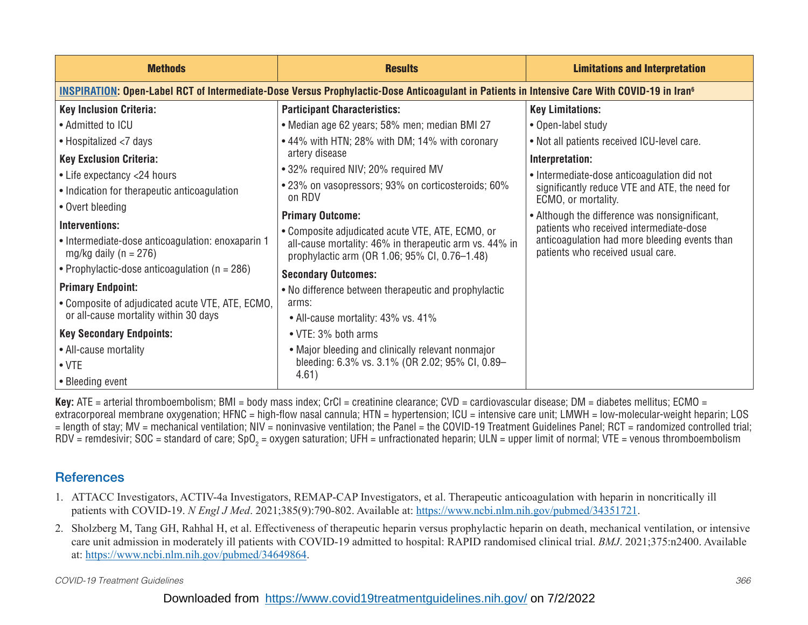| <b>Methods</b>                                                                                                                                                 | <b>Results</b>                                                                                          | <b>Limitations and Interpretation</b>                                              |
|----------------------------------------------------------------------------------------------------------------------------------------------------------------|---------------------------------------------------------------------------------------------------------|------------------------------------------------------------------------------------|
| <b>INSPIRATION: Open-Label RCT of Intermediate-Dose Versus Prophylactic-Dose Anticoagulant in Patients in Intensive Care With COVID-19 in Iran<sup>6</sup></b> |                                                                                                         |                                                                                    |
| <b>Key Inclusion Criteria:</b>                                                                                                                                 | <b>Participant Characteristics:</b>                                                                     | <b>Key Limitations:</b>                                                            |
| • Admitted to ICU                                                                                                                                              | • Median age 62 years; 58% men; median BMI 27                                                           | • Open-label study                                                                 |
| • Hospitalized <7 days                                                                                                                                         | • 44% with HTN; 28% with DM; 14% with coronary                                                          | • Not all patients received ICU-level care.                                        |
| <b>Key Exclusion Criteria:</b>                                                                                                                                 | artery disease                                                                                          | Interpretation:                                                                    |
| • Life expectancy <24 hours                                                                                                                                    | • 32% required NIV; 20% required MV                                                                     | • Intermediate-dose anticoagulation did not                                        |
| • Indication for therapeutic anticoagulation                                                                                                                   | •23% on vasopressors; 93% on corticosteroids; 60%<br>on RDV                                             | significantly reduce VTE and ATE, the need for<br>ECMO, or mortality.              |
| • Overt bleeding                                                                                                                                               | <b>Primary Outcome:</b>                                                                                 | • Although the difference was nonsignificant,                                      |
| Interventions:                                                                                                                                                 | • Composite adjudicated acute VTE, ATE, ECMO, or                                                        | patients who received intermediate-dose                                            |
| • Intermediate-dose anticoagulation: enoxaparin 1<br>mg/kg daily ( $n = 276$ )                                                                                 | all-cause mortality: 46% in therapeutic arm vs. 44% in<br>prophylactic arm (OR 1.06; 95% CI, 0.76-1.48) | anticoagulation had more bleeding events than<br>patients who received usual care. |
| • Prophylactic-dose anticoagulation ( $n = 286$ )                                                                                                              | <b>Secondary Outcomes:</b>                                                                              |                                                                                    |
| <b>Primary Endpoint:</b>                                                                                                                                       | • No difference between therapeutic and prophylactic                                                    |                                                                                    |
| • Composite of adjudicated acute VTE, ATE, ECMO,                                                                                                               | arms:                                                                                                   |                                                                                    |
| or all-cause mortality within 30 days                                                                                                                          | • All-cause mortality: 43% vs. 41%                                                                      |                                                                                    |
| <b>Key Secondary Endpoints:</b>                                                                                                                                | • VTE: 3% both arms                                                                                     |                                                                                    |
| • All-cause mortality                                                                                                                                          | • Major bleeding and clinically relevant nonmajor                                                       |                                                                                    |
| $\bullet$ VTE                                                                                                                                                  | bleeding: 6.3% vs. 3.1% (OR 2.02; 95% CI, 0.89-                                                         |                                                                                    |
| • Bleeding event                                                                                                                                               | 4.61)                                                                                                   |                                                                                    |

**Key:** ATE = arterial thromboembolism; BMI = body mass index; CrCl = creatinine clearance; CVD = cardiovascular disease; DM = diabetes mellitus; ECMO = extracorporeal membrane oxygenation; HFNC = high-flow nasal cannula; HTN = hypertension; ICU = intensive care unit; LMWH = low-molecular-weight heparin; LOS = length of stay; MV = mechanical ventilation; NIV = noninvasive ventilation; the Panel = the COVID-19 Treatment Guidelines Panel; RCT = randomized controlled trial; RDV = remdesivir; SOC = standard of care; SpO $_{\rm 2}$  = oxygen saturation; UFH = unfractionated heparin; ULN = upper limit of normal; VTE = venous thromboembolism

## **References**

- 1. ATTACC Investigators, ACTIV-4a Investigators, REMAP-CAP Investigators, et al. Therapeutic anticoagulation with heparin in noncritically ill patients with COVID-19. *N Engl J Med*. 2021;385(9):790-802. Available at: https://www.ncbi.nlm.nih.gov/pubmed/34351721.
- 2. Sholzberg M, Tang GH, Rahhal H, et al. Effectiveness of therapeutic heparin versus prophylactic heparin on death, mechanical ventilation, or intensive care unit admission in moderately ill patients with COVID-19 admitted to hospital: RAPID randomised clinical trial. *BMJ*. 2021;375:n2400. Available at: [https://www.ncbi.nlm.nih.gov/pubmed/34649864.](https://www.ncbi.nlm.nih.gov/pubmed/34649864)

*COVID-19 Treatment Guidelines 366*